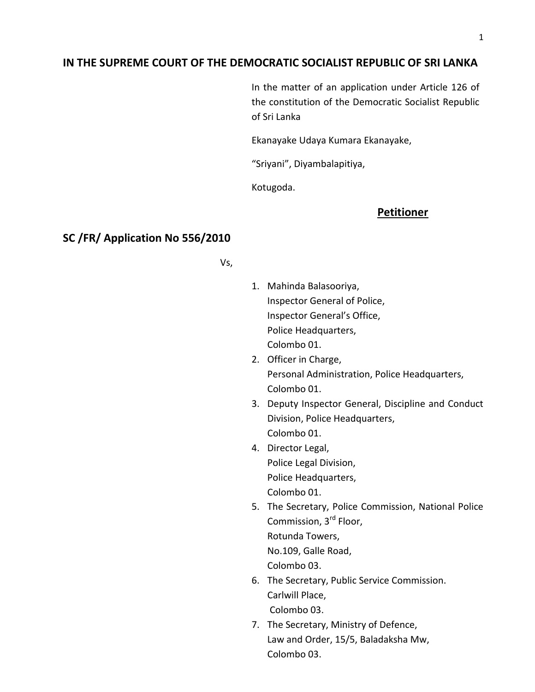## **IN THE SUPREME COURT OF THE DEMOCRATIC SOCIALIST REPUBLIC OF SRI LANKA**

In the matter of an application under Article 126 of the constitution of the Democratic Socialist Republic of Sri Lanka

Ekanayake Udaya Kumara Ekanayake,

"Sriyani", Diyambalapitiya,

Kotugoda.

#### **Petitioner**

### **SC /FR/ Application No 556/2010**

Vs,

- 1. Mahinda Balasooriya, Inspector General of Police, Inspector General's Office, Police Headquarters, Colombo 01.
- 2. Officer in Charge, Personal Administration, Police Headquarters, Colombo 01.
- 3. Deputy Inspector General, Discipline and Conduct Division, Police Headquarters, Colombo 01.
- 4. Director Legal, Police Legal Division, Police Headquarters, Colombo 01.
- 5. The Secretary, Police Commission, National Police Commission, 3rd Floor, Rotunda Towers, No.109, Galle Road, Colombo 03.
- 6. The Secretary, Public Service Commission. Carlwill Place, Colombo 03.
- 7. The Secretary, Ministry of Defence, Law and Order, 15/5, Baladaksha Mw, Colombo 03.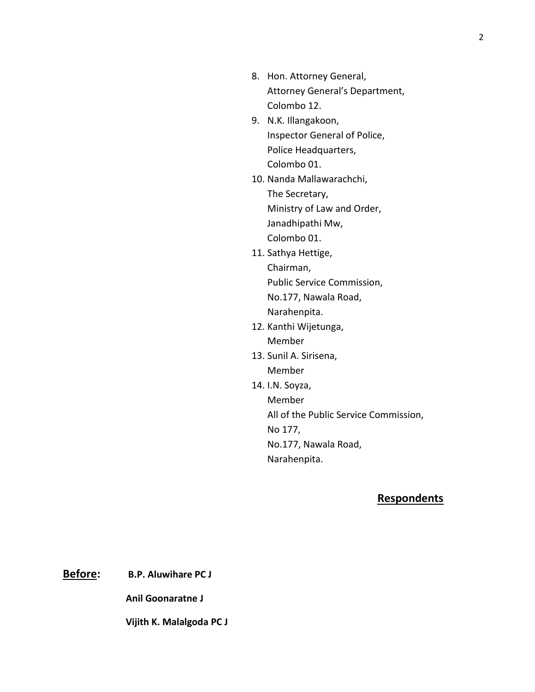- 8. Hon. Attorney General, Attorney General's Department, Colombo 12.
- 9. N.K. Illangakoon, Inspector General of Police, Police Headquarters, Colombo 01.
- 10. Nanda Mallawarachchi, The Secretary, Ministry of Law and Order, Janadhipathi Mw, Colombo 01.
- 11. Sathya Hettige, Chairman, Public Service Commission, No.177, Nawala Road, Narahenpita.
- 12. Kanthi Wijetunga, Member
- 13. Sunil A. Sirisena, Member
- 14. I.N. Soyza, Member All of the Public Service Commission, No 177, No.177, Nawala Road, Narahenpita.

# **Respondents**

**Before: B.P. Aluwihare PC J**

**Anil Goonaratne J**

**Vijith K. Malalgoda PC J**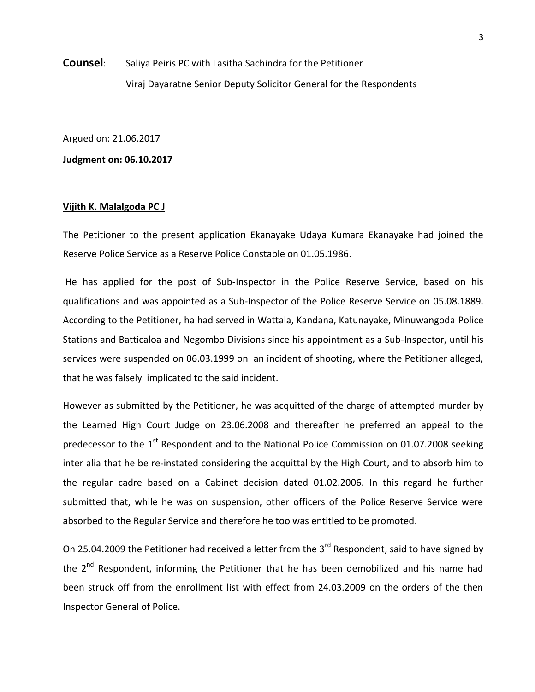**Counsel:** Saliya Peiris PC with Lasitha Sachindra for the Petitioner Viraj Dayaratne Senior Deputy Solicitor General for the Respondents

Argued on: 21.06.2017

**Judgment on: 06.10.2017**

#### **Vijith K. Malalgoda PC J**

The Petitioner to the present application Ekanayake Udaya Kumara Ekanayake had joined the Reserve Police Service as a Reserve Police Constable on 01.05.1986.

He has applied for the post of Sub-Inspector in the Police Reserve Service, based on his qualifications and was appointed as a Sub-Inspector of the Police Reserve Service on 05.08.1889. According to the Petitioner, ha had served in Wattala, Kandana, Katunayake, Minuwangoda Police Stations and Batticaloa and Negombo Divisions since his appointment as a Sub-Inspector, until his services were suspended on 06.03.1999 on an incident of shooting, where the Petitioner alleged, that he was falsely implicated to the said incident.

However as submitted by the Petitioner, he was acquitted of the charge of attempted murder by the Learned High Court Judge on 23.06.2008 and thereafter he preferred an appeal to the predecessor to the  $1<sup>st</sup>$  Respondent and to the National Police Commission on 01.07.2008 seeking inter alia that he be re-instated considering the acquittal by the High Court, and to absorb him to the regular cadre based on a Cabinet decision dated 01.02.2006. In this regard he further submitted that, while he was on suspension, other officers of the Police Reserve Service were absorbed to the Regular Service and therefore he too was entitled to be promoted.

On 25.04.2009 the Petitioner had received a letter from the 3<sup>rd</sup> Respondent, said to have signed by the  $2^{nd}$  Respondent, informing the Petitioner that he has been demobilized and his name had been struck off from the enrollment list with effect from 24.03.2009 on the orders of the then Inspector General of Police.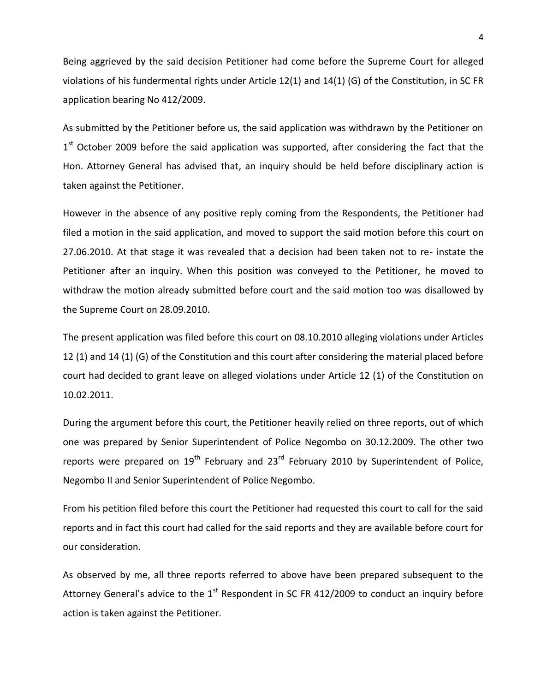Being aggrieved by the said decision Petitioner had come before the Supreme Court for alleged violations of his fundermental rights under Article 12(1) and 14(1) (G) of the Constitution, in SC FR application bearing No 412/2009.

As submitted by the Petitioner before us, the said application was withdrawn by the Petitioner on 1<sup>st</sup> October 2009 before the said application was supported, after considering the fact that the Hon. Attorney General has advised that, an inquiry should be held before disciplinary action is taken against the Petitioner.

However in the absence of any positive reply coming from the Respondents, the Petitioner had filed a motion in the said application, and moved to support the said motion before this court on 27.06.2010. At that stage it was revealed that a decision had been taken not to re- instate the Petitioner after an inquiry. When this position was conveyed to the Petitioner, he moved to withdraw the motion already submitted before court and the said motion too was disallowed by the Supreme Court on 28.09.2010.

The present application was filed before this court on 08.10.2010 alleging violations under Articles 12 (1) and 14 (1) (G) of the Constitution and this court after considering the material placed before court had decided to grant leave on alleged violations under Article 12 (1) of the Constitution on 10.02.2011.

During the argument before this court, the Petitioner heavily relied on three reports, out of which one was prepared by Senior Superintendent of Police Negombo on 30.12.2009. The other two reports were prepared on  $19<sup>th</sup>$  February and 23<sup>rd</sup> February 2010 by Superintendent of Police, Negombo II and Senior Superintendent of Police Negombo.

From his petition filed before this court the Petitioner had requested this court to call for the said reports and in fact this court had called for the said reports and they are available before court for our consideration.

As observed by me, all three reports referred to above have been prepared subsequent to the Attorney General's advice to the  $1<sup>st</sup>$  Respondent in SC FR 412/2009 to conduct an inquiry before action is taken against the Petitioner.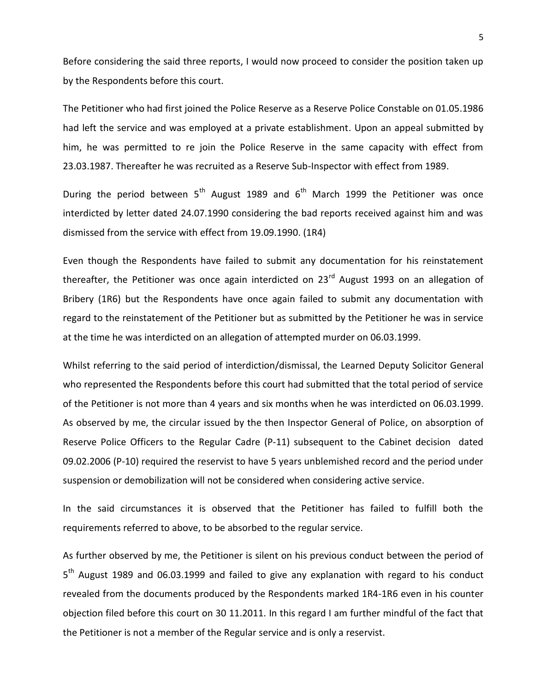Before considering the said three reports, I would now proceed to consider the position taken up by the Respondents before this court.

The Petitioner who had first joined the Police Reserve as a Reserve Police Constable on 01.05.1986 had left the service and was employed at a private establishment. Upon an appeal submitted by him, he was permitted to re join the Police Reserve in the same capacity with effect from 23.03.1987. Thereafter he was recruited as a Reserve Sub-Inspector with effect from 1989.

During the period between  $5<sup>th</sup>$  August 1989 and  $6<sup>th</sup>$  March 1999 the Petitioner was once interdicted by letter dated 24.07.1990 considering the bad reports received against him and was dismissed from the service with effect from 19.09.1990. (1R4)

Even though the Respondents have failed to submit any documentation for his reinstatement thereafter, the Petitioner was once again interdicted on  $23<sup>rd</sup>$  August 1993 on an allegation of Bribery (1R6) but the Respondents have once again failed to submit any documentation with regard to the reinstatement of the Petitioner but as submitted by the Petitioner he was in service at the time he was interdicted on an allegation of attempted murder on 06.03.1999.

Whilst referring to the said period of interdiction/dismissal, the Learned Deputy Solicitor General who represented the Respondents before this court had submitted that the total period of service of the Petitioner is not more than 4 years and six months when he was interdicted on 06.03.1999. As observed by me, the circular issued by the then Inspector General of Police, on absorption of Reserve Police Officers to the Regular Cadre (P-11) subsequent to the Cabinet decision dated 09.02.2006 (P-10) required the reservist to have 5 years unblemished record and the period under suspension or demobilization will not be considered when considering active service.

In the said circumstances it is observed that the Petitioner has failed to fulfill both the requirements referred to above, to be absorbed to the regular service.

As further observed by me, the Petitioner is silent on his previous conduct between the period of 5<sup>th</sup> August 1989 and 06.03.1999 and failed to give any explanation with regard to his conduct revealed from the documents produced by the Respondents marked 1R4-1R6 even in his counter objection filed before this court on 30 11.2011. In this regard I am further mindful of the fact that the Petitioner is not a member of the Regular service and is only a reservist.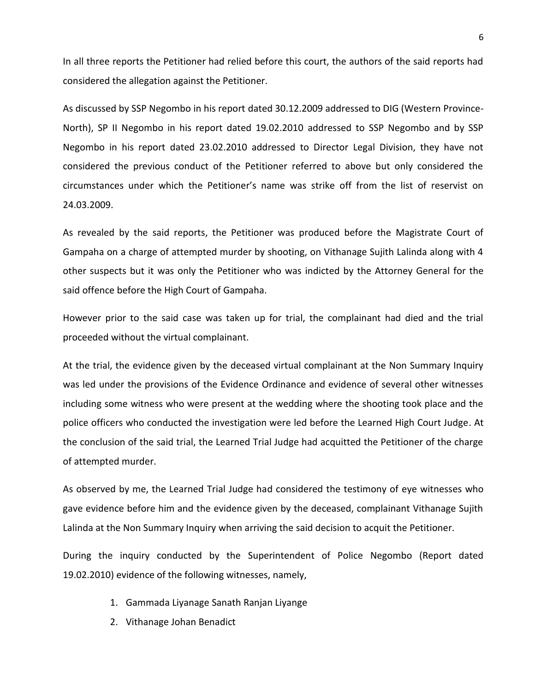In all three reports the Petitioner had relied before this court, the authors of the said reports had considered the allegation against the Petitioner.

As discussed by SSP Negombo in his report dated 30.12.2009 addressed to DIG (Western Province-North), SP II Negombo in his report dated 19.02.2010 addressed to SSP Negombo and by SSP Negombo in his report dated 23.02.2010 addressed to Director Legal Division, they have not considered the previous conduct of the Petitioner referred to above but only considered the circumstances under which the Petitioner's name was strike off from the list of reservist on 24.03.2009.

As revealed by the said reports, the Petitioner was produced before the Magistrate Court of Gampaha on a charge of attempted murder by shooting, on Vithanage Sujith Lalinda along with 4 other suspects but it was only the Petitioner who was indicted by the Attorney General for the said offence before the High Court of Gampaha.

However prior to the said case was taken up for trial, the complainant had died and the trial proceeded without the virtual complainant.

At the trial, the evidence given by the deceased virtual complainant at the Non Summary Inquiry was led under the provisions of the Evidence Ordinance and evidence of several other witnesses including some witness who were present at the wedding where the shooting took place and the police officers who conducted the investigation were led before the Learned High Court Judge. At the conclusion of the said trial, the Learned Trial Judge had acquitted the Petitioner of the charge of attempted murder.

As observed by me, the Learned Trial Judge had considered the testimony of eye witnesses who gave evidence before him and the evidence given by the deceased, complainant Vithanage Sujith Lalinda at the Non Summary Inquiry when arriving the said decision to acquit the Petitioner.

During the inquiry conducted by the Superintendent of Police Negombo (Report dated 19.02.2010) evidence of the following witnesses, namely,

- 1. Gammada Liyanage Sanath Ranjan Liyange
- 2. Vithanage Johan Benadict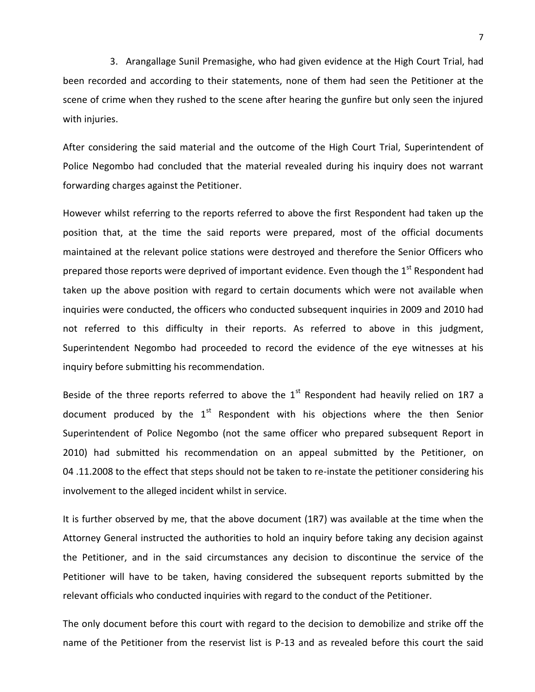3. Arangallage Sunil Premasighe, who had given evidence at the High Court Trial, had been recorded and according to their statements, none of them had seen the Petitioner at the scene of crime when they rushed to the scene after hearing the gunfire but only seen the injured with injuries.

After considering the said material and the outcome of the High Court Trial, Superintendent of Police Negombo had concluded that the material revealed during his inquiry does not warrant forwarding charges against the Petitioner.

However whilst referring to the reports referred to above the first Respondent had taken up the position that, at the time the said reports were prepared, most of the official documents maintained at the relevant police stations were destroyed and therefore the Senior Officers who prepared those reports were deprived of important evidence. Even though the 1<sup>st</sup> Respondent had taken up the above position with regard to certain documents which were not available when inquiries were conducted, the officers who conducted subsequent inquiries in 2009 and 2010 had not referred to this difficulty in their reports. As referred to above in this judgment, Superintendent Negombo had proceeded to record the evidence of the eye witnesses at his inquiry before submitting his recommendation.

Beside of the three reports referred to above the  $1<sup>st</sup>$  Respondent had heavily relied on 1R7 a document produced by the  $1<sup>st</sup>$  Respondent with his objections where the then Senior Superintendent of Police Negombo (not the same officer who prepared subsequent Report in 2010) had submitted his recommendation on an appeal submitted by the Petitioner, on 04 .11.2008 to the effect that steps should not be taken to re-instate the petitioner considering his involvement to the alleged incident whilst in service.

It is further observed by me, that the above document (1R7) was available at the time when the Attorney General instructed the authorities to hold an inquiry before taking any decision against the Petitioner, and in the said circumstances any decision to discontinue the service of the Petitioner will have to be taken, having considered the subsequent reports submitted by the relevant officials who conducted inquiries with regard to the conduct of the Petitioner.

The only document before this court with regard to the decision to demobilize and strike off the name of the Petitioner from the reservist list is P-13 and as revealed before this court the said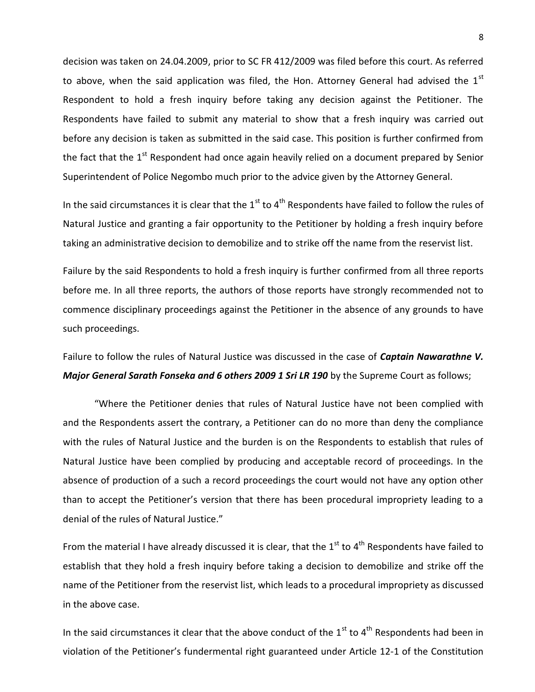decision was taken on 24.04.2009, prior to SC FR 412/2009 was filed before this court. As referred to above, when the said application was filed, the Hon. Attorney General had advised the  $1<sup>st</sup>$ Respondent to hold a fresh inquiry before taking any decision against the Petitioner. The Respondents have failed to submit any material to show that a fresh inquiry was carried out before any decision is taken as submitted in the said case. This position is further confirmed from the fact that the  $1<sup>st</sup>$  Respondent had once again heavily relied on a document prepared by Senior Superintendent of Police Negombo much prior to the advice given by the Attorney General.

In the said circumstances it is clear that the  $1<sup>st</sup>$  to 4<sup>th</sup> Respondents have failed to follow the rules of Natural Justice and granting a fair opportunity to the Petitioner by holding a fresh inquiry before taking an administrative decision to demobilize and to strike off the name from the reservist list.

Failure by the said Respondents to hold a fresh inquiry is further confirmed from all three reports before me. In all three reports, the authors of those reports have strongly recommended not to commence disciplinary proceedings against the Petitioner in the absence of any grounds to have such proceedings.

Failure to follow the rules of Natural Justice was discussed in the case of *Captain Nawarathne V. Major General Sarath Fonseka and 6 others 2009 1 Sri LR 190* by the Supreme Court as follows;

"Where the Petitioner denies that rules of Natural Justice have not been complied with and the Respondents assert the contrary, a Petitioner can do no more than deny the compliance with the rules of Natural Justice and the burden is on the Respondents to establish that rules of Natural Justice have been complied by producing and acceptable record of proceedings. In the absence of production of a such a record proceedings the court would not have any option other than to accept the Petitioner's version that there has been procedural impropriety leading to a denial of the rules of Natural Justice."

From the material I have already discussed it is clear, that the  $1^{\text{st}}$  to  $4^{\text{th}}$  Respondents have failed to establish that they hold a fresh inquiry before taking a decision to demobilize and strike off the name of the Petitioner from the reservist list, which leads to a procedural impropriety as discussed in the above case.

In the said circumstances it clear that the above conduct of the  $1<sup>st</sup>$  to 4<sup>th</sup> Respondents had been in violation of the Petitioner's fundermental right guaranteed under Article 12-1 of the Constitution